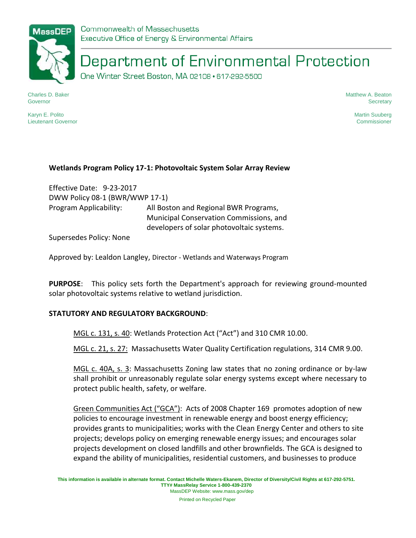# Department of Environmental Protection

One Winter Street Boston, MA 02108 · 617-292-5500

Charles D. Baker **Governor** 

Karyn E. Polito Lieutenant Governor Matthew A. Beaton **Secretary** 

> Martin Suuberg Commissioner

#### **Wetlands Program Policy 17-1: Photovoltaic System Solar Array Review**

Effective Date: 9-23-2017 DWW Policy 08-1 (BWR/WWP 17-1) Program Applicability: All Boston and Regional BWR Programs, Municipal Conservation Commissions, and developers of solar photovoltaic systems.

Supersedes Policy: None

Approved by: Lealdon Langley, Director - Wetlands and Waterways Program

**PURPOSE**: This policy sets forth the Department's approach for reviewing ground-mounted solar photovoltaic systems relative to wetland jurisdiction.

#### **STATUTORY AND REGULATORY BACKGROUND**:

MGL c. 131, s. 40: Wetlands Protection Act ("Act") and 310 CMR 10.00.

MGL c. 21, s. 27: Massachusetts Water Quality Certification regulations, 314 CMR 9.00.

MGL c. 40A, s. 3: Massachusetts Zoning law states that no zoning ordinance or by-law shall prohibit or unreasonably regulate solar energy systems except where necessary to protect public health, safety, or welfare.

Green Communities Act ("GCA"): Acts of 2008 Chapter 169 promotes adoption of new policies to encourage investment in renewable energy and boost energy efficiency; provides grants to municipalities; works with the Clean Energy Center and others to site projects; develops policy on emerging renewable energy issues; and encourages solar projects development on closed landfills and other brownfields. The GCA is designed to expand the ability of municipalities, residential customers, and businesses to produce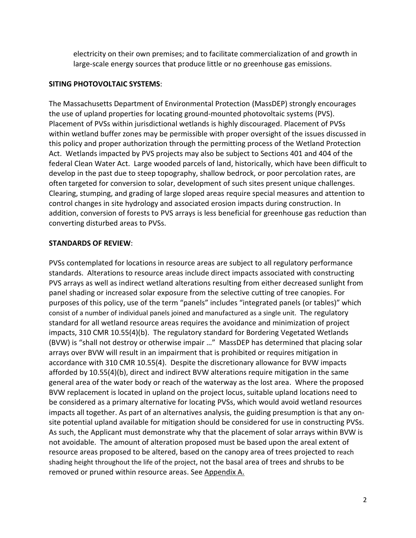electricity on their own premises; and to facilitate commercialization of and growth in large-scale energy sources that produce little or no greenhouse gas emissions.

### **SITING PHOTOVOLTAIC SYSTEMS**:

The Massachusetts Department of Environmental Protection (MassDEP) strongly encourages the use of upland properties for locating ground-mounted photovoltaic systems (PVS). Placement of PVSs within jurisdictional wetlands is highly discouraged. Placement of PVSs within wetland buffer zones may be permissible with proper oversight of the issues discussed in this policy and proper authorization through the permitting process of the Wetland Protection Act. Wetlands impacted by PVS projects may also be subject to Sections 401 and 404 of the federal Clean Water Act. Large wooded parcels of land, historically, which have been difficult to develop in the past due to steep topography, shallow bedrock, or poor percolation rates, are often targeted for conversion to solar, development of such sites present unique challenges. Clearing, stumping, and grading of large sloped areas require special measures and attention to control changes in site hydrology and associated erosion impacts during construction. In addition, conversion of forests to PVS arrays is less beneficial for greenhouse gas reduction than converting disturbed areas to PVSs.

#### **STANDARDS OF REVIEW**:

PVSs contemplated for locations in resource areas are subject to all regulatory performance standards. Alterations to resource areas include direct impacts associated with constructing PVS arrays as well as indirect wetland alterations resulting from either decreased sunlight from panel shading or increased solar exposure from the selective cutting of tree canopies. For purposes of this policy, use of the term "panels" includes "integrated panels (or tables)" which consist of a number of individual panels joined and manufactured as a single unit. The regulatory standard for all wetland resource areas requires the avoidance and minimization of project impacts, 310 CMR 10.55(4)(b). The regulatory standard for Bordering Vegetated Wetlands (BVW) is "shall not destroy or otherwise impair …" MassDEP has determined that placing solar arrays over BVW will result in an impairment that is prohibited or requires mitigation in accordance with 310 CMR 10.55(4). Despite the discretionary allowance for BVW impacts afforded by 10.55(4)(b), direct and indirect BVW alterations require mitigation in the same general area of the water body or reach of the waterway as the lost area. Where the proposed BVW replacement is located in upland on the project locus, suitable upland locations need to be considered as a primary alternative for locating PVSs, which would avoid wetland resources impacts all together. As part of an alternatives analysis, the guiding presumption is that any onsite potential upland available for mitigation should be considered for use in constructing PVSs. As such, the Applicant must demonstrate why that the placement of solar arrays within BVW is not avoidable. The amount of alteration proposed must be based upon the areal extent of resource areas proposed to be altered, based on the canopy area of trees projected to reach shading height throughout the life of the project, not the basal area of trees and shrubs to be removed or pruned within resource areas. See Appendix A.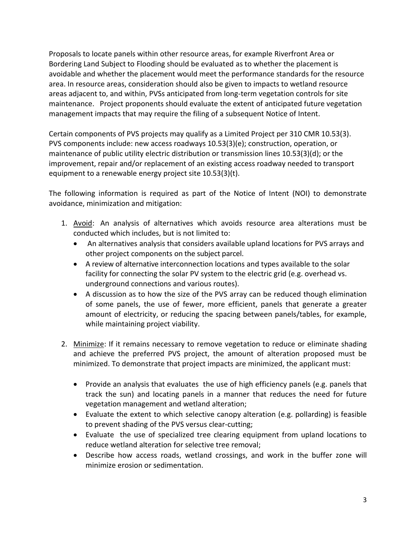Proposals to locate panels within other resource areas, for example Riverfront Area or Bordering Land Subject to Flooding should be evaluated as to whether the placement is avoidable and whether the placement would meet the performance standards for the resource area. In resource areas, consideration should also be given to impacts to wetland resource areas adjacent to, and within, PVSs anticipated from long-term vegetation controls for site maintenance. Project proponents should evaluate the extent of anticipated future vegetation management impacts that may require the filing of a subsequent Notice of Intent.

Certain components of PVS projects may qualify as a Limited Project per 310 CMR 10.53(3). PVS components include: new access roadways 10.53(3)(e); construction, operation, or maintenance of public utility electric distribution or transmission lines 10.53(3)(d); or the improvement, repair and/or replacement of an existing access roadway needed to transport equipment to a renewable energy project site 10.53(3)(t).

The following information is required as part of the Notice of Intent (NOI) to demonstrate avoidance, minimization and mitigation:

- 1. Avoid: An analysis of alternatives which avoids resource area alterations must be conducted which includes, but is not limited to:
	- An alternatives analysis that considers available upland locations for PVS arrays and other project components on the subject parcel.
	- A review of alternative interconnection locations and types available to the solar facility for connecting the solar PV system to the electric grid (e.g. overhead vs. underground connections and various routes).
	- A discussion as to how the size of the PVS array can be reduced though elimination of some panels, the use of fewer, more efficient, panels that generate a greater amount of electricity, or reducing the spacing between panels/tables, for example, while maintaining project viability.
- 2. Minimize: If it remains necessary to remove vegetation to reduce or eliminate shading and achieve the preferred PVS project, the amount of alteration proposed must be minimized. To demonstrate that project impacts are minimized, the applicant must:
	- Provide an analysis that evaluates the use of high efficiency panels (e.g. panels that track the sun) and locating panels in a manner that reduces the need for future vegetation management and wetland alteration;
	- Evaluate the extent to which selective canopy alteration (e.g. pollarding) is feasible to prevent shading of the PVS versus clear-cutting;
	- Evaluate the use of specialized tree clearing equipment from upland locations to reduce wetland alteration for selective tree removal;
	- Describe how access roads, wetland crossings, and work in the buffer zone will minimize erosion or sedimentation.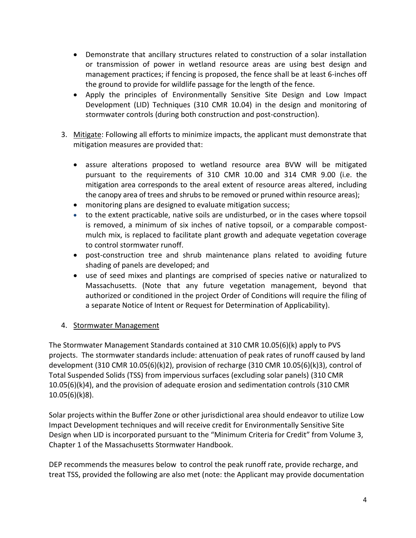- Demonstrate that ancillary structures related to construction of a solar installation or transmission of power in wetland resource areas are using best design and management practices; if fencing is proposed, the fence shall be at least 6-inches off the ground to provide for wildlife passage for the length of the fence.
- Apply the principles of Environmentally Sensitive Site Design and Low Impact Development (LID) Techniques (310 CMR 10.04) in the design and monitoring of stormwater controls (during both construction and post-construction).
- 3. Mitigate: Following all efforts to minimize impacts, the applicant must demonstrate that mitigation measures are provided that:
	- assure alterations proposed to wetland resource area BVW will be mitigated pursuant to the requirements of 310 CMR 10.00 and 314 CMR 9.00 (i.e. the mitigation area corresponds to the areal extent of resource areas altered, including the canopy area of trees and shrubs to be removed or pruned within resource areas);
	- monitoring plans are designed to evaluate mitigation success;
	- to the extent practicable, native soils are undisturbed, or in the cases where topsoil is removed, a minimum of six inches of native topsoil, or a comparable compostmulch mix, is replaced to facilitate plant growth and adequate vegetation coverage to control stormwater runoff.
	- post-construction tree and shrub maintenance plans related to avoiding future shading of panels are developed; and
	- use of seed mixes and plantings are comprised of species native or naturalized to Massachusetts. (Note that any future vegetation management, beyond that authorized or conditioned in the project Order of Conditions will require the filing of a separate Notice of Intent or Request for Determination of Applicability).

## 4. Stormwater Management

The Stormwater Management Standards contained at 310 CMR 10.05(6)(k) apply to PVS projects. The stormwater standards include: attenuation of peak rates of runoff caused by land development (310 CMR 10.05(6)(k)2), provision of recharge (310 CMR 10.05(6)(k)3), control of Total Suspended Solids (TSS) from impervious surfaces (excluding solar panels) (310 CMR 10.05(6)(k)4), and the provision of adequate erosion and sedimentation controls (310 CMR 10.05(6)(k)8).

Solar projects within the Buffer Zone or other jurisdictional area should endeavor to utilize Low Impact Development techniques and will receive credit for Environmentally Sensitive Site Design when LID is incorporated pursuant to the "Minimum Criteria for Credit" from Volume 3, Chapter 1 of the Massachusetts Stormwater Handbook.

DEP recommends the measures below to control the peak runoff rate, provide recharge, and treat TSS, provided the following are also met (note: the Applicant may provide documentation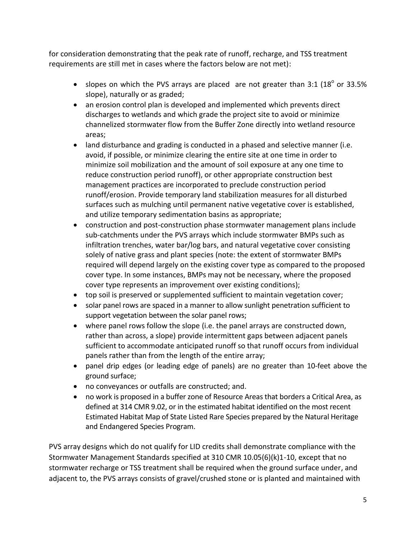for consideration demonstrating that the peak rate of runoff, recharge, and TSS treatment requirements are still met in cases where the factors below are not met):

- slopes on which the PVS arrays are placed are not greater than 3:1 ( $18^{\circ}$  or 33.5% slope), naturally or as graded;
- an erosion control plan is developed and implemented which prevents direct discharges to wetlands and which grade the project site to avoid or minimize channelized stormwater flow from the Buffer Zone directly into wetland resource areas;
- land disturbance and grading is conducted in a phased and selective manner (i.e. avoid, if possible, or minimize clearing the entire site at one time in order to minimize soil mobilization and the amount of soil exposure at any one time to reduce construction period runoff), or other appropriate construction best management practices are incorporated to preclude construction period runoff/erosion. Provide temporary land stabilization measures for all disturbed surfaces such as mulching until permanent native vegetative cover is established, and utilize temporary sedimentation basins as appropriate;
- construction and post-construction phase stormwater management plans include sub-catchments under the PVS arrays which include stormwater BMPs such as infiltration trenches, water bar/log bars, and natural vegetative cover consisting solely of native grass and plant species (note: the extent of stormwater BMPs required will depend largely on the existing cover type as compared to the proposed cover type. In some instances, BMPs may not be necessary, where the proposed cover type represents an improvement over existing conditions);
- top soil is preserved or supplemented sufficient to maintain vegetation cover;
- solar panel rows are spaced in a manner to allow sunlight penetration sufficient to support vegetation between the solar panel rows;
- where panel rows follow the slope (i.e. the panel arrays are constructed down, rather than across, a slope) provide intermittent gaps between adjacent panels sufficient to accommodate anticipated runoff so that runoff occurs from individual panels rather than from the length of the entire array;
- panel drip edges (or leading edge of panels) are no greater than 10-feet above the ground surface;
- no conveyances or outfalls are constructed; and.
- no work is proposed in a buffer zone of Resource Areas that borders a Critical Area, as defined at 314 CMR 9.02, or in the estimated habitat identified on the most recent Estimated Habitat Map of State Listed Rare Species prepared by the Natural Heritage and Endangered Species Program.

PVS array designs which do not qualify for LID credits shall demonstrate compliance with the Stormwater Management Standards specified at 310 CMR 10.05(6)(k)1-10, except that no stormwater recharge or TSS treatment shall be required when the ground surface under, and adjacent to, the PVS arrays consists of gravel/crushed stone or is planted and maintained with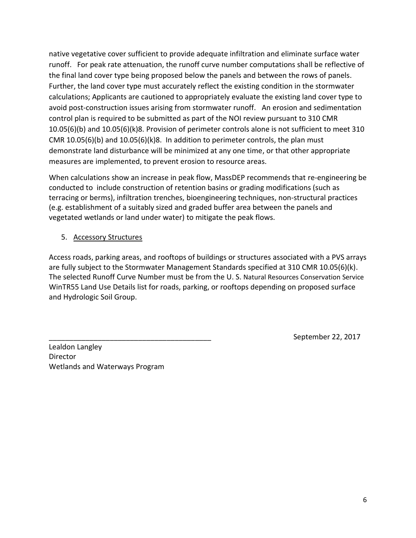native vegetative cover sufficient to provide adequate infiltration and eliminate surface water runoff. For peak rate attenuation, the runoff curve number computations shall be reflective of the final land cover type being proposed below the panels and between the rows of panels. Further, the land cover type must accurately reflect the existing condition in the stormwater calculations; Applicants are cautioned to appropriately evaluate the existing land cover type to avoid post-construction issues arising from stormwater runoff. An erosion and sedimentation control plan is required to be submitted as part of the NOI review pursuant to 310 CMR 10.05(6)(b) and 10.05(6)(k)8. Provision of perimeter controls alone is not sufficient to meet 310 CMR 10.05(6)(b) and 10.05(6)(k)8. In addition to perimeter controls, the plan must demonstrate land disturbance will be minimized at any one time, or that other appropriate measures are implemented, to prevent erosion to resource areas.

When calculations show an increase in peak flow, MassDEP recommends that re-engineering be conducted to include construction of retention basins or grading modifications (such as terracing or berms), infiltration trenches, bioengineering techniques, non-structural practices (e.g. establishment of a suitably sized and graded buffer area between the panels and vegetated wetlands or land under water) to mitigate the peak flows.

# 5. Accessory Structures

Access roads, parking areas, and rooftops of buildings or structures associated with a PVS arrays are fully subject to the Stormwater Management Standards specified at 310 CMR 10.05(6)(k). The selected Runoff Curve Number must be from the U. S. Natural Resources Conservation Service WinTR55 Land Use Details list for roads, parking, or rooftops depending on proposed surface and Hydrologic Soil Group.

Lealdon Langley **Director** Wetlands and Waterways Program September 22, 2017